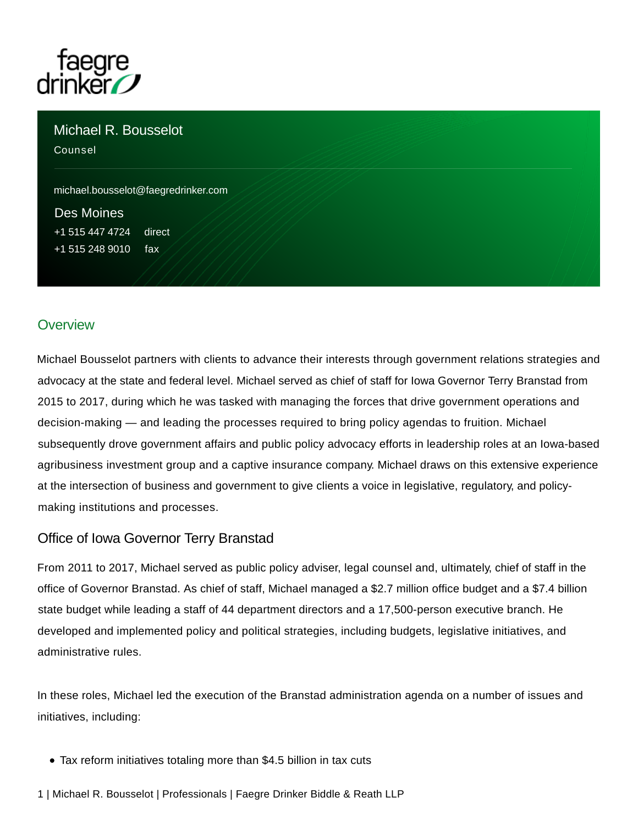

Michael R. Bousselot

Counsel

[michael.bousselot@faegredrinker.com](mailto:michael.bousselot@faegredrinker.com)

[Des Moines](https://www.faegredrinker.com/en/locations/des-moines) [+1 515 447 4724](tel:+15154474724) direct +1 515 248 9010 fax

# **Overview**

Michael Bousselot partners with clients to advance their interests through government relations strategies and advocacy at the state and federal level. Michael served as chief of staff for Iowa Governor Terry Branstad from 2015 to 2017, during which he was tasked with managing the forces that drive government operations and decision-making — and leading the processes required to bring policy agendas to fruition. Michael subsequently drove government affairs and public policy advocacy efforts in leadership roles at an Iowa-based agribusiness investment group and a captive insurance company. Michael draws on this extensive experience at the intersection of business and government to give clients a voice in legislative, regulatory, and policymaking institutions and processes.

# Office of Iowa Governor Terry Branstad

From 2011 to 2017, Michael served as public policy adviser, legal counsel and, ultimately, chief of staff in the office of Governor Branstad. As chief of staff, Michael managed a \$2.7 million office budget and a \$7.4 billion state budget while leading a staff of 44 department directors and a 17,500-person executive branch. He developed and implemented policy and political strategies, including budgets, legislative initiatives, and administrative rules.

In these roles, Michael led the execution of the Branstad administration agenda on a number of issues and initiatives, including:

- Tax reform initiatives totaling more than \$4.5 billion in tax cuts
- 1 | Michael R. Bousselot | Professionals | Faegre Drinker Biddle & Reath LLP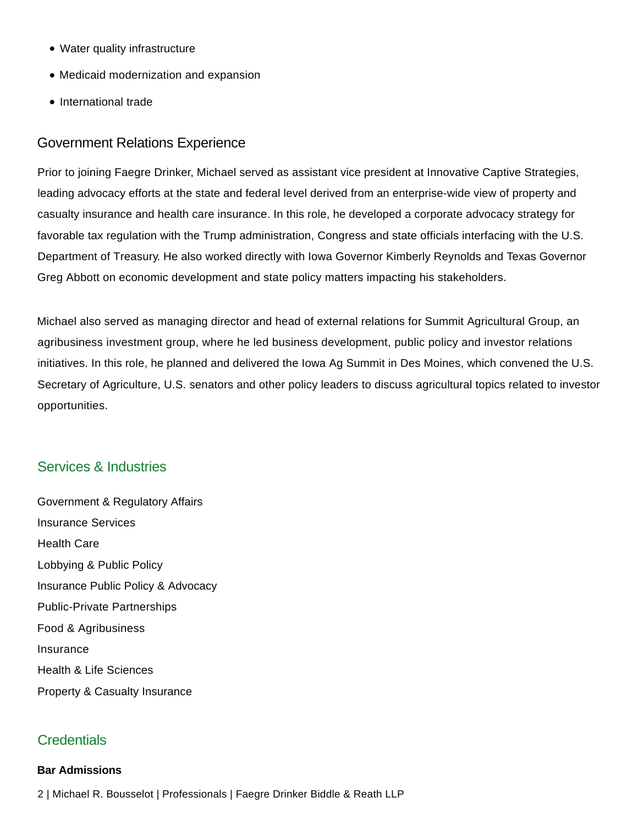- Water quality infrastructure
- Medicaid modernization and expansion
- International trade

#### Government Relations Experience

Prior to joining Faegre Drinker, Michael served as assistant vice president at Innovative Captive Strategies, leading advocacy efforts at the state and federal level derived from an enterprise-wide view of property and casualty insurance and health care insurance. In this role, he developed a corporate advocacy strategy for favorable tax regulation with the Trump administration, Congress and state officials interfacing with the U.S. Department of Treasury. He also worked directly with Iowa Governor Kimberly Reynolds and Texas Governor Greg Abbott on economic development and state policy matters impacting his stakeholders.

Michael also served as managing director and head of external relations for Summit Agricultural Group, an agribusiness investment group, where he led business development, public policy and investor relations initiatives. In this role, he planned and delivered the Iowa Ag Summit in Des Moines, which convened the U.S. Secretary of Agriculture, U.S. senators and other policy leaders to discuss agricultural topics related to investor opportunities.

# Services & Industries

[Government & Regulatory Affairs](https://www.faegredrinker.com/en/services/services/government--regulatory-affairs) [Insurance Services](https://www.faegredrinker.com/en/services/services/insurance-services) [Health Care](https://www.faegredrinker.com/en/services/services/health-care) [Lobbying & Public Policy](https://www.faegredrinker.com/en/services/services/government--regulatory-affairs/lobbying-and-public-policy) [Insurance Public Policy & Advocacy](https://www.faegredrinker.com/en/services/services/insurance-services/insurance-public-policy-and-advocacy) [Public-Private Partnerships](https://www.faegredrinker.com/en/services/services/government--regulatory-affairs/public-private-partnerships) [Food & Agribusiness](https://www.faegredrinker.com/en/services/industries/food-and-agribusiness) [Insurance](https://www.faegredrinker.com/en/services/industries/insurance) [Health & Life Sciences](https://www.faegredrinker.com/en/services/industries/health-and-life-sciences) [Property & Casualty Insurance](https://www.faegredrinker.com/en/services/industries/insurance/insurance-sectors/property-and-casualty-insurance)

# **Credentials**

#### **Bar Admissions**